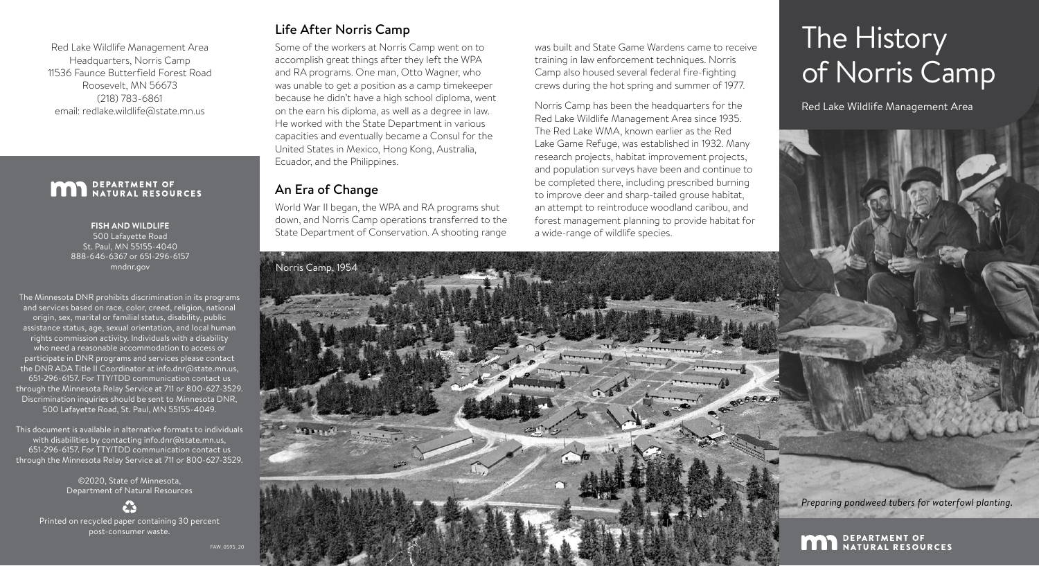# The History of Norris Camp

*Preparing pondweed tubers for waterfowl planting.*

**MAD** DEPARTMENT OF NATURAL RESOURCES

Red Lake Wildlife Management Area

Some of the workers at Norris Camp went on to accomplish great things after they left the WPA and RA programs. One man, Otto Wagner, who was unable to get a position as a camp timekeeper because he didn't have a high school diploma, went on the earn his diploma, as well as a degree in law. He worked with the State Department in various capacities and eventually became a Consul for the United States in Mexico, Hong Kong, Australia, Ecuador, and the Philippines.

Norris Camp has been the headquarters for the Red Lake Wildlife Management Area since 1935. The Red Lake WMA, known earlier as the Red Lake Game Refuge, was established in 1932. Many research projects, habitat improvement projects, and population surveys have been and continue to be completed there, including prescribed burning to improve deer and sharp-tailed grouse habitat, an attempt to reintroduce woodland caribou, and forest management planning to provide habitat for a wide-range of wildlife species.

### An Era of Change

World War II began, the WPA and RA programs shut down, and Norris Camp operations transferred to the State Department of Conservation. A shooting range was built and State Game Wardens came to receive training in law enforcement techniques. Norris Camp also housed several federal fire-fighting crews during the hot spring and summer of 1977.



The Minnesota DNR prohibits discrimination in its programs and services based on race, color, creed, religion, national origin, sex, marital or familial status, disability, public assistance status, age, sexual orientation, and local human rights commission activity. Individuals with a disability who need a reasonable accommodation to access or participate in DNR programs and services please contact the DNR ADA Title II Coordinator at [info.dnr@state.mn.us,](mailto:info.dnr%40state.mn.us?subject=) 651‑296‑6157. For TTY/TDD communication contact us through the Minnesota Relay Service at 711 or 800-627-3529. Discrimination inquiries should be sent to Minnesota DNR, 500 Lafayette Road, St. Paul, MN 55155-4049.

This document is available in alternative formats to individuals with disabilities by contacting [info.dnr@state.mn.us,](mailto:info.dnr%40state.mn.us?subject=) 651‑296‑6157. For TTY/TDD communication contact us through the Minnesota Relay Service at 711 or 800-627-3529.

> ©2020, State of Minnesota, Department of Natural Resources

Printed on recycled paper containing 30 percent post‑consumer waste.

FAW\_0595\_20

Red Lake Wildlife Management Area Headquarters, Norris Camp 11536 Faunce Butterfield Forest Road Roosevelt, MN 56673 (218) 783-6861 email: [redlake.wildlife@state.mn.us](mailto:redlake.wildlife%40state.mn.us?subject=)

## **MAN** DEPARTMENT OF NATURAL RESOURCES

#### **FISH AND WILDLIFE**

500 Lafayette Road St. Paul, MN 55155-4040 888-646-6367 or 651-296-6157 [mndnr.gov](mailto:mndnr.gov?subject=)